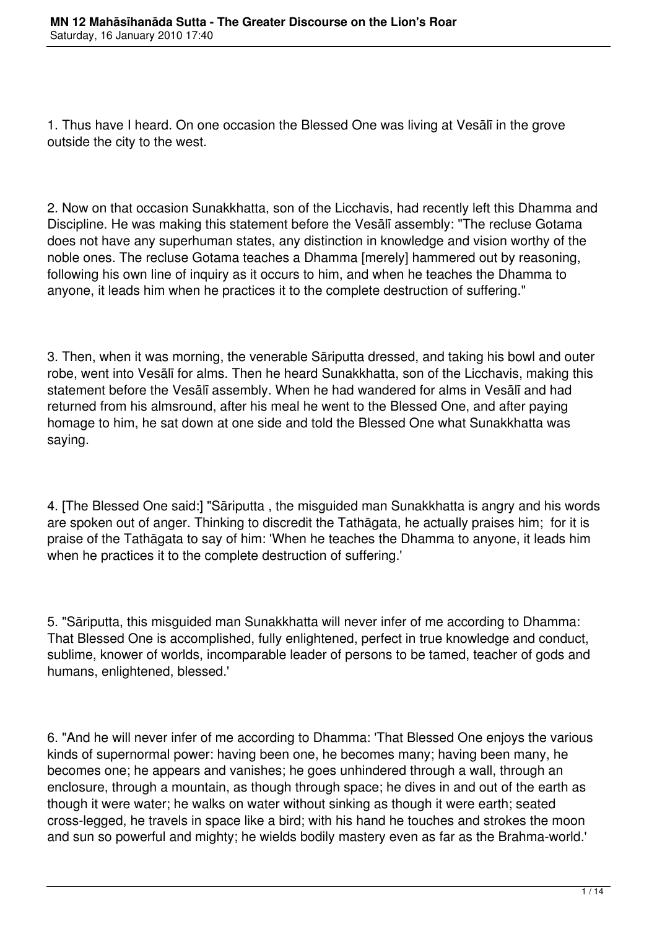1. Thus have I heard. On one occasion the Blessed One was living at Vesālī in the grove outside the city to the west.

2. Now on that occasion Sunakkhatta, son of the Licchavis, had recently left this Dhamma and Discipline. He was making this statement before the Vesālī assembly: "The recluse Gotama does not have any superhuman states, any distinction in knowledge and vision worthy of the noble ones. The recluse Gotama teaches a Dhamma [merely] hammered out by reasoning, following his own line of inquiry as it occurs to him, and when he teaches the Dhamma to anyone, it leads him when he practices it to the complete destruction of suffering."

3. Then, when it was morning, the venerable Sāriputta dressed, and taking his bowl and outer robe, went into Vesālī for alms. Then he heard Sunakkhatta, son of the Licchavis, making this statement before the Vesālī assembly. When he had wandered for alms in Vesālī and had returned from his almsround, after his meal he went to the Blessed One, and after paying homage to him, he sat down at one side and told the Blessed One what Sunakkhatta was saying.

4. [The Blessed One said:] "Sāriputta , the misguided man Sunakkhatta is angry and his words are spoken out of anger. Thinking to discredit the Tathāgata, he actually praises him; for it is praise of the Tathāgata to say of him: 'When he teaches the Dhamma to anyone, it leads him when he practices it to the complete destruction of suffering.'

5. "Sāriputta, this misguided man Sunakkhatta will never infer of me according to Dhamma: That Blessed One is accomplished, fully enlightened, perfect in true knowledge and conduct, sublime, knower of worlds, incomparable leader of persons to be tamed, teacher of gods and humans, enlightened, blessed.'

6. "And he will never infer of me according to Dhamma: 'That Blessed One enjoys the various kinds of supernormal power: having been one, he becomes many; having been many, he becomes one; he appears and vanishes; he goes unhindered through a wall, through an enclosure, through a mountain, as though through space; he dives in and out of the earth as though it were water; he walks on water without sinking as though it were earth; seated cross-legged, he travels in space like a bird; with his hand he touches and strokes the moon and sun so powerful and mighty; he wields bodily mastery even as far as the Brahma-world.'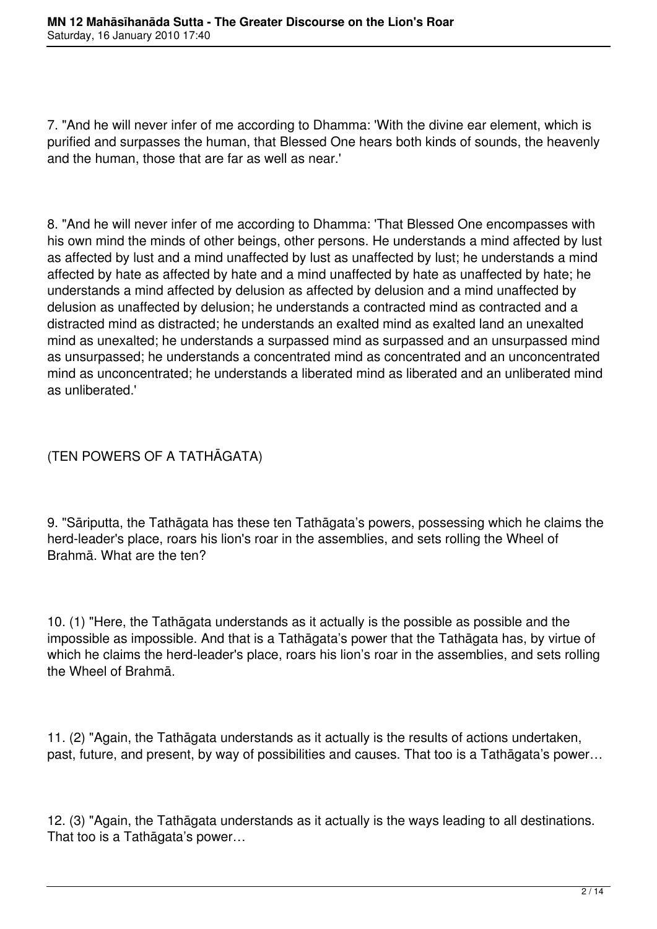7. "And he will never infer of me according to Dhamma: 'With the divine ear element, which is purified and surpasses the human, that Blessed One hears both kinds of sounds, the heavenly and the human, those that are far as well as near.'

8. "And he will never infer of me according to Dhamma: 'That Blessed One encompasses with his own mind the minds of other beings, other persons. He understands a mind affected by lust as affected by lust and a mind unaffected by lust as unaffected by lust; he understands a mind affected by hate as affected by hate and a mind unaffected by hate as unaffected by hate; he understands a mind affected by delusion as affected by delusion and a mind unaffected by delusion as unaffected by delusion; he understands a contracted mind as contracted and a distracted mind as distracted; he understands an exalted mind as exalted land an unexalted mind as unexalted; he understands a surpassed mind as surpassed and an unsurpassed mind as unsurpassed; he understands a concentrated mind as concentrated and an unconcentrated mind as unconcentrated; he understands a liberated mind as liberated and an unliberated mind as unliberated.'

## (TEN POWERS OF A TATHĀGATA)

9. "Sāriputta, the Tathāgata has these ten Tathāgata's powers, possessing which he claims the herd-leader's place, roars his lion's roar in the assemblies, and sets rolling the Wheel of Brahmā. What are the ten?

10. (1) "Here, the Tathāgata understands as it actually is the possible as possible and the impossible as impossible. And that is a Tathāgata's power that the Tathāgata has, by virtue of which he claims the herd-leader's place, roars his lion's roar in the assemblies, and sets rolling the Wheel of Brahmā.

11. (2) "Again, the Tathāgata understands as it actually is the results of actions undertaken, past, future, and present, by way of possibilities and causes. That too is a Tathāgata's power…

12. (3) "Again, the Tathāgata understands as it actually is the ways leading to all destinations. That too is a Tathāgata's power…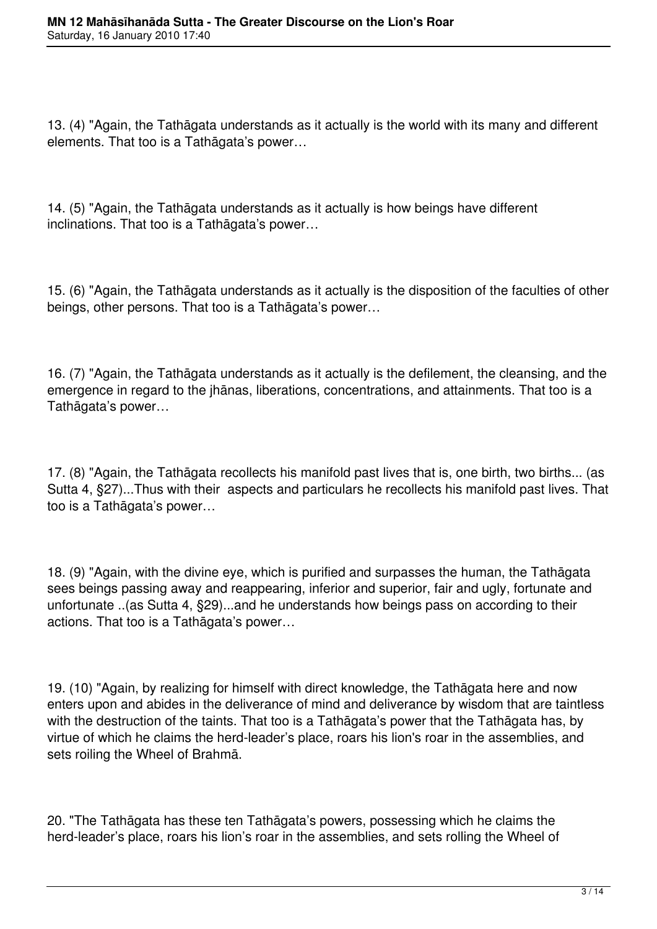13. (4) "Again, the Tathāgata understands as it actually is the world with its many and different elements. That too is a Tathāgata's power…

14. (5) "Again, the Tathāgata understands as it actually is how beings have different inclinations. That too is a Tathāgata's power…

15. (6) "Again, the Tathāgata understands as it actually is the disposition of the faculties of other beings, other persons. That too is a Tathāgata's power…

16. (7) "Again, the Tathāgata understands as it actually is the defilement, the cleansing, and the emergence in regard to the jhānas, liberations, concentrations, and attainments. That too is a Tathāgata's power…

17. (8) "Again, the Tathāgata recollects his manifold past lives that is, one birth, two births... (as Sutta 4, §27)...Thus with their aspects and particulars he recollects his manifold past lives. That too is a Tathāgata's power…

18. (9) "Again, with the divine eye, which is purified and surpasses the human, the Tathāgata sees beings passing away and reappearing, inferior and superior, fair and ugly, fortunate and unfortunate ..(as Sutta 4, §29)...and he understands how beings pass on according to their actions. That too is a Tathāgata's power…

19. (10) "Again, by realizing for himself with direct knowledge, the Tathāgata here and now enters upon and abides in the deliverance of mind and deliverance by wisdom that are taintless with the destruction of the taints. That too is a Tathāgata's power that the Tathāgata has, by virtue of which he claims the herd-leader's place, roars his lion's roar in the assemblies, and sets roiling the Wheel of Brahmā.

20. "The Tathāgata has these ten Tathāgata's powers, possessing which he claims the herd-leader's place, roars his lion's roar in the assemblies, and sets rolling the Wheel of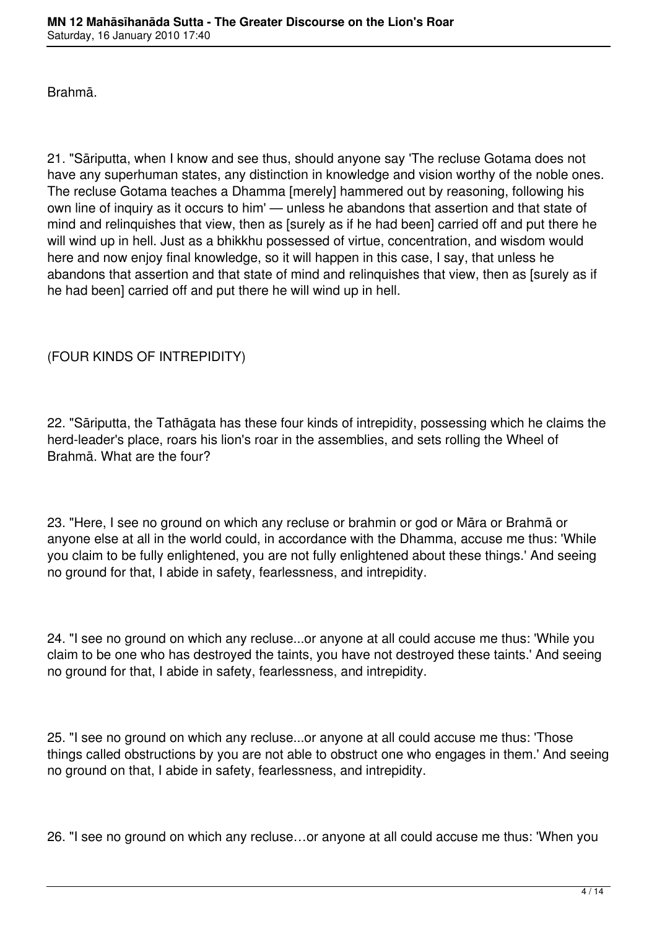Brahmā.

21. "Sāriputta, when I know and see thus, should anyone say 'The recluse Gotama does not have any superhuman states, any distinction in knowledge and vision worthy of the noble ones. The recluse Gotama teaches a Dhamma [merely] hammered out by reasoning, following his own line of inquiry as it occurs to him' — unless he abandons that assertion and that state of mind and relinquishes that view, then as [surely as if he had been] carried off and put there he will wind up in hell. Just as a bhikkhu possessed of virtue, concentration, and wisdom would here and now enjoy final knowledge, so it will happen in this case, I say, that unless he abandons that assertion and that state of mind and relinquishes that view, then as [surely as if he had been] carried off and put there he will wind up in hell.

## (FOUR KINDS OF INTREPIDITY)

22. "Sāriputta, the Tathāgata has these four kinds of intrepidity, possessing which he claims the herd-leader's place, roars his lion's roar in the assemblies, and sets rolling the Wheel of Brahmā. What are the four?

23. "Here, I see no ground on which any recluse or brahmin or god or Māra or Brahmā or anyone else at all in the world could, in accordance with the Dhamma, accuse me thus: 'While you claim to be fully enlightened, you are not fully enlightened about these things.' And seeing no ground for that, I abide in safety, fearlessness, and intrepidity.

24. "I see no ground on which any recluse...or anyone at all could accuse me thus: 'While you claim to be one who has destroyed the taints, you have not destroyed these taints.' And seeing no ground for that, I abide in safety, fearlessness, and intrepidity.

25. "I see no ground on which any recluse...or anyone at all could accuse me thus: 'Those things called obstructions by you are not able to obstruct one who engages in them.' And seeing no ground on that, I abide in safety, fearlessness, and intrepidity.

26. "I see no ground on which any recluse…or anyone at all could accuse me thus: 'When you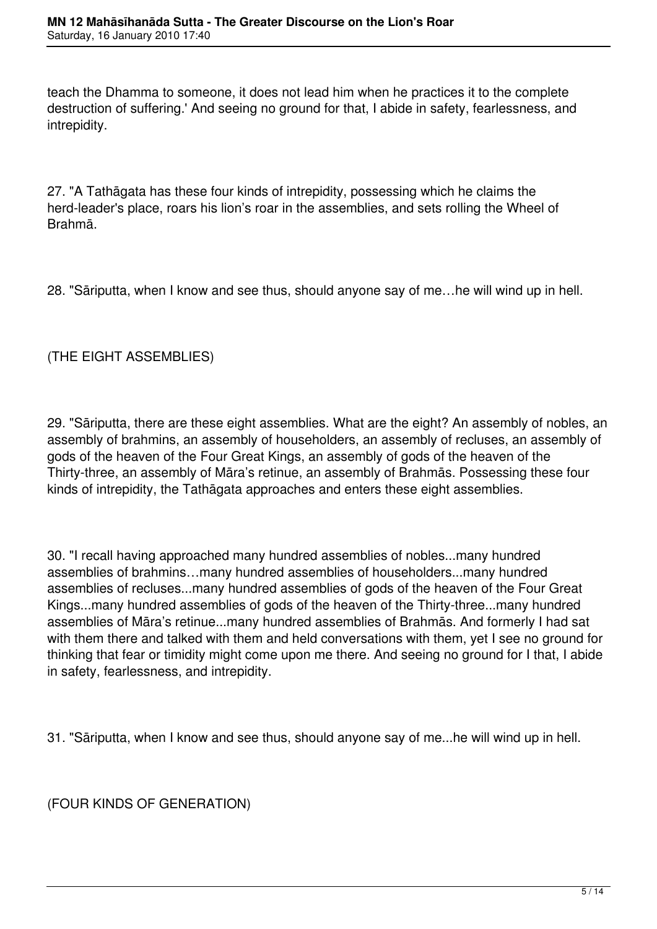teach the Dhamma to someone, it does not lead him when he practices it to the complete destruction of suffering.' And seeing no ground for that, I abide in safety, fearlessness, and intrepidity.

27. "A Tathāgata has these four kinds of intrepidity, possessing which he claims the herd-leader's place, roars his lion's roar in the assemblies, and sets rolling the Wheel of Brahmā.

28. "Sāriputta, when I know and see thus, should anyone say of me…he will wind up in hell.

(THE EIGHT ASSEMBLIES)

29. "Sāriputta, there are these eight assemblies. What are the eight? An assembly of nobles, an assembly of brahmins, an assembly of householders, an assembly of recluses, an assembly of gods of the heaven of the Four Great Kings, an assembly of gods of the heaven of the Thirty-three, an assembly of Māra's retinue, an assembly of Brahmās. Possessing these four kinds of intrepidity, the Tathāgata approaches and enters these eight assemblies.

30. "I recall having approached many hundred assemblies of nobles...many hundred assemblies of brahmins…many hundred assemblies of householders...many hundred assemblies of recluses...many hundred assemblies of gods of the heaven of the Four Great Kings...many hundred assemblies of gods of the heaven of the Thirty-three...many hundred assemblies of Māra's retinue...many hundred assemblies of Brahmās. And formerly I had sat with them there and talked with them and held conversations with them, yet I see no ground for thinking that fear or timidity might come upon me there. And seeing no ground for I that, I abide in safety, fearlessness, and intrepidity.

31. "Sāriputta, when I know and see thus, should anyone say of me...he will wind up in hell.

(FOUR KINDS OF GENERATION)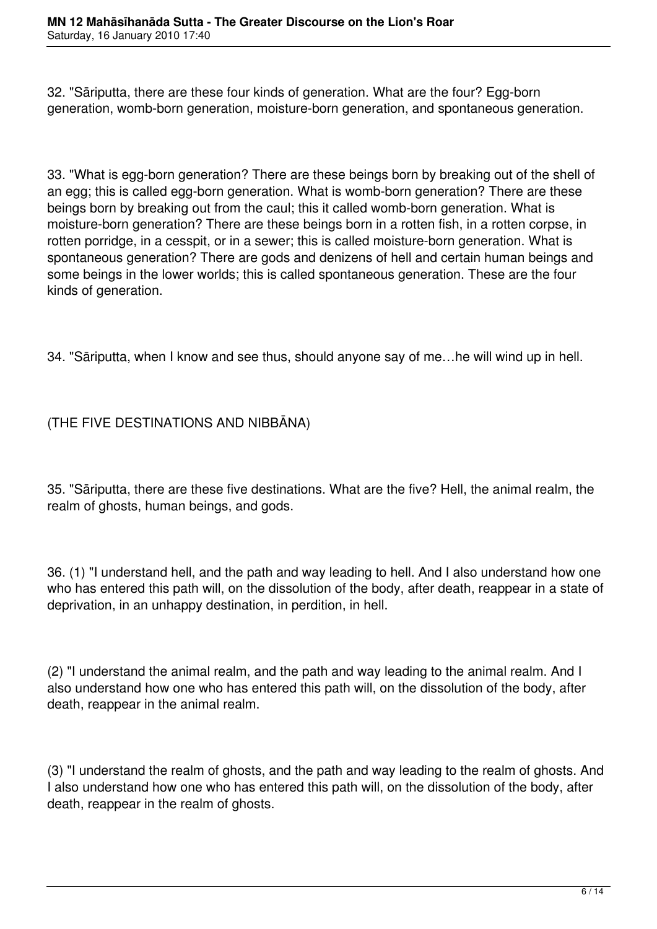32. "Sāriputta, there are these four kinds of generation. What are the four? Egg-born generation, womb-born generation, moisture-born generation, and spontaneous generation.

33. "What is egg-born generation? There are these beings born by breaking out of the shell of an egg; this is called egg-born generation. What is womb-born generation? There are these beings born by breaking out from the caul; this it called womb-born generation. What is moisture-born generation? There are these beings born in a rotten fish, in a rotten corpse, in rotten porridge, in a cesspit, or in a sewer; this is called moisture-born generation. What is spontaneous generation? There are gods and denizens of hell and certain human beings and some beings in the lower worlds; this is called spontaneous generation. These are the four kinds of generation.

34. "Sāriputta, when I know and see thus, should anyone say of me…he will wind up in hell.

(THE FIVE DESTINATIONS AND NIBBĀNA)

35. "Sāriputta, there are these five destinations. What are the five? Hell, the animal realm, the realm of ghosts, human beings, and gods.

36. (1) "I understand hell, and the path and way leading to hell. And I also understand how one who has entered this path will, on the dissolution of the body, after death, reappear in a state of deprivation, in an unhappy destination, in perdition, in hell.

(2) "I understand the animal realm, and the path and way leading to the animal realm. And I also understand how one who has entered this path will, on the dissolution of the body, after death, reappear in the animal realm.

(3) "I understand the realm of ghosts, and the path and way leading to the realm of ghosts. And I also understand how one who has entered this path will, on the dissolution of the body, after death, reappear in the realm of ghosts.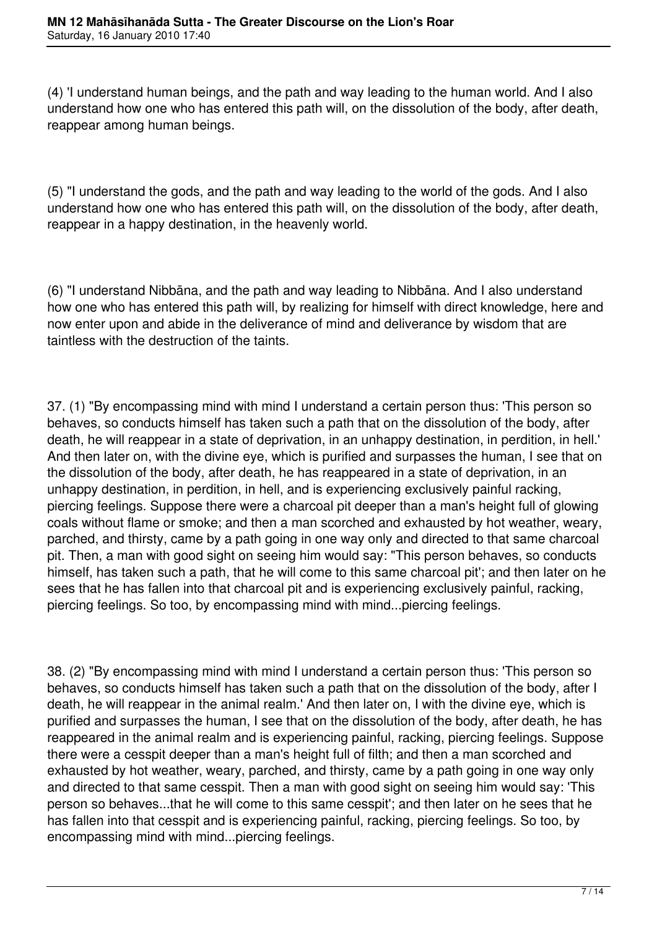(4) 'I understand human beings, and the path and way leading to the human world. And I also understand how one who has entered this path will, on the dissolution of the body, after death, reappear among human beings.

(5) "I understand the gods, and the path and way leading to the world of the gods. And I also understand how one who has entered this path will, on the dissolution of the body, after death, reappear in a happy destination, in the heavenly world.

(6) "I understand Nibbāna, and the path and way leading to Nibbāna. And I also understand how one who has entered this path will, by realizing for himself with direct knowledge, here and now enter upon and abide in the deliverance of mind and deliverance by wisdom that are taintless with the destruction of the taints.

37. (1) "By encompassing mind with mind I understand a certain person thus: 'This person so behaves, so conducts himself has taken such a path that on the dissolution of the body, after death, he will reappear in a state of deprivation, in an unhappy destination, in perdition, in hell.' And then later on, with the divine eye, which is purified and surpasses the human, I see that on the dissolution of the body, after death, he has reappeared in a state of deprivation, in an unhappy destination, in perdition, in hell, and is experiencing exclusively painful racking, piercing feelings. Suppose there were a charcoal pit deeper than a man's height full of glowing coals without flame or smoke; and then a man scorched and exhausted by hot weather, weary, parched, and thirsty, came by a path going in one way only and directed to that same charcoal pit. Then, a man with good sight on seeing him would say: "This person behaves, so conducts himself, has taken such a path, that he will come to this same charcoal pit'; and then later on he sees that he has fallen into that charcoal pit and is experiencing exclusively painful, racking, piercing feelings. So too, by encompassing mind with mind...piercing feelings.

38. (2) "By encompassing mind with mind I understand a certain person thus: 'This person so behaves, so conducts himself has taken such a path that on the dissolution of the body, after I death, he will reappear in the animal realm.' And then later on, I with the divine eye, which is purified and surpasses the human, I see that on the dissolution of the body, after death, he has reappeared in the animal realm and is experiencing painful, racking, piercing feelings. Suppose there were a cesspit deeper than a man's height full of filth; and then a man scorched and exhausted by hot weather, weary, parched, and thirsty, came by a path going in one way only and directed to that same cesspit. Then a man with good sight on seeing him would say: 'This person so behaves...that he will come to this same cesspit'; and then later on he sees that he has fallen into that cesspit and is experiencing painful, racking, piercing feelings. So too, by encompassing mind with mind...piercing feelings.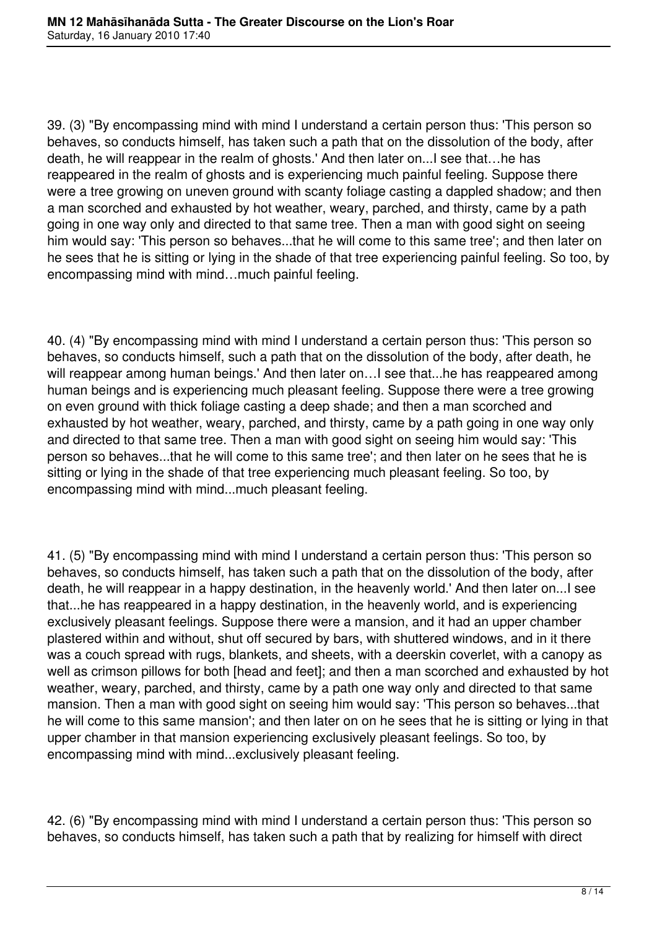39. (3) "By encompassing mind with mind I understand a certain person thus: 'This person so behaves, so conducts himself, has taken such a path that on the dissolution of the body, after death, he will reappear in the realm of ghosts.' And then later on...I see that…he has reappeared in the realm of ghosts and is experiencing much painful feeling. Suppose there were a tree growing on uneven ground with scanty foliage casting a dappled shadow; and then a man scorched and exhausted by hot weather, weary, parched, and thirsty, came by a path going in one way only and directed to that same tree. Then a man with good sight on seeing him would say: 'This person so behaves...that he will come to this same tree'; and then later on he sees that he is sitting or lying in the shade of that tree experiencing painful feeling. So too, by encompassing mind with mind…much painful feeling.

40. (4) "By encompassing mind with mind I understand a certain person thus: 'This person so behaves, so conducts himself, such a path that on the dissolution of the body, after death, he will reappear among human beings.' And then later on... I see that... he has reappeared among human beings and is experiencing much pleasant feeling. Suppose there were a tree growing on even ground with thick foliage casting a deep shade; and then a man scorched and exhausted by hot weather, weary, parched, and thirsty, came by a path going in one way only and directed to that same tree. Then a man with good sight on seeing him would say: 'This person so behaves...that he will come to this same tree'; and then later on he sees that he is sitting or lying in the shade of that tree experiencing much pleasant feeling. So too, by encompassing mind with mind...much pleasant feeling.

41. (5) "By encompassing mind with mind I understand a certain person thus: 'This person so behaves, so conducts himself, has taken such a path that on the dissolution of the body, after death, he will reappear in a happy destination, in the heavenly world.' And then later on...I see that...he has reappeared in a happy destination, in the heavenly world, and is experiencing exclusively pleasant feelings. Suppose there were a mansion, and it had an upper chamber plastered within and without, shut off secured by bars, with shuttered windows, and in it there was a couch spread with rugs, blankets, and sheets, with a deerskin coverlet, with a canopy as well as crimson pillows for both [head and feet]; and then a man scorched and exhausted by hot weather, weary, parched, and thirsty, came by a path one way only and directed to that same mansion. Then a man with good sight on seeing him would say: 'This person so behaves...that he will come to this same mansion'; and then later on on he sees that he is sitting or lying in that upper chamber in that mansion experiencing exclusively pleasant feelings. So too, by encompassing mind with mind...exclusively pleasant feeling.

42. (6) "By encompassing mind with mind I understand a certain person thus: 'This person so behaves, so conducts himself, has taken such a path that by realizing for himself with direct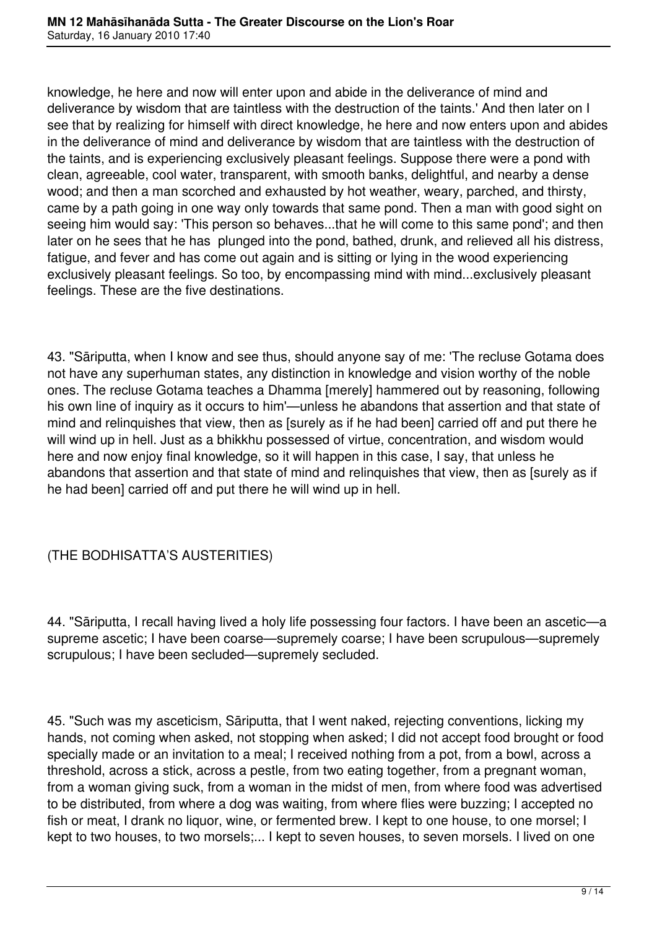knowledge, he here and now will enter upon and abide in the deliverance of mind and deliverance by wisdom that are taintless with the destruction of the taints.' And then later on I see that by realizing for himself with direct knowledge, he here and now enters upon and abides in the deliverance of mind and deliverance by wisdom that are taintless with the destruction of the taints, and is experiencing exclusively pleasant feelings. Suppose there were a pond with clean, agreeable, cool water, transparent, with smooth banks, delightful, and nearby a dense wood; and then a man scorched and exhausted by hot weather, weary, parched, and thirsty, came by a path going in one way only towards that same pond. Then a man with good sight on seeing him would say: 'This person so behaves...that he will come to this same pond'; and then later on he sees that he has plunged into the pond, bathed, drunk, and relieved all his distress, fatigue, and fever and has come out again and is sitting or lying in the wood experiencing exclusively pleasant feelings. So too, by encompassing mind with mind...exclusively pleasant feelings. These are the five destinations.

43. "Sāriputta, when I know and see thus, should anyone say of me: 'The recluse Gotama does not have any superhuman states, any distinction in knowledge and vision worthy of the noble ones. The recluse Gotama teaches a Dhamma [merely] hammered out by reasoning, following his own line of inquiry as it occurs to him'—unless he abandons that assertion and that state of mind and relinquishes that view, then as [surely as if he had been] carried off and put there he will wind up in hell. Just as a bhikkhu possessed of virtue, concentration, and wisdom would here and now enjoy final knowledge, so it will happen in this case, I say, that unless he abandons that assertion and that state of mind and relinquishes that view, then as [surely as if he had been] carried off and put there he will wind up in hell.

## (THE BODHISATTA'S AUSTERITIES)

44. "Sāriputta, I recall having lived a holy life possessing four factors. I have been an ascetic—a supreme ascetic; I have been coarse—supremely coarse; I have been scrupulous—supremely scrupulous; I have been secluded—supremely secluded.

45. "Such was my asceticism, Sāriputta, that I went naked, rejecting conventions, licking my hands, not coming when asked, not stopping when asked; I did not accept food brought or food specially made or an invitation to a meal; I received nothing from a pot, from a bowl, across a threshold, across a stick, across a pestle, from two eating together, from a pregnant woman, from a woman giving suck, from a woman in the midst of men, from where food was advertised to be distributed, from where a dog was waiting, from where flies were buzzing; I accepted no fish or meat, I drank no liquor, wine, or fermented brew. I kept to one house, to one morsel; I kept to two houses, to two morsels;... I kept to seven houses, to seven morsels. I lived on one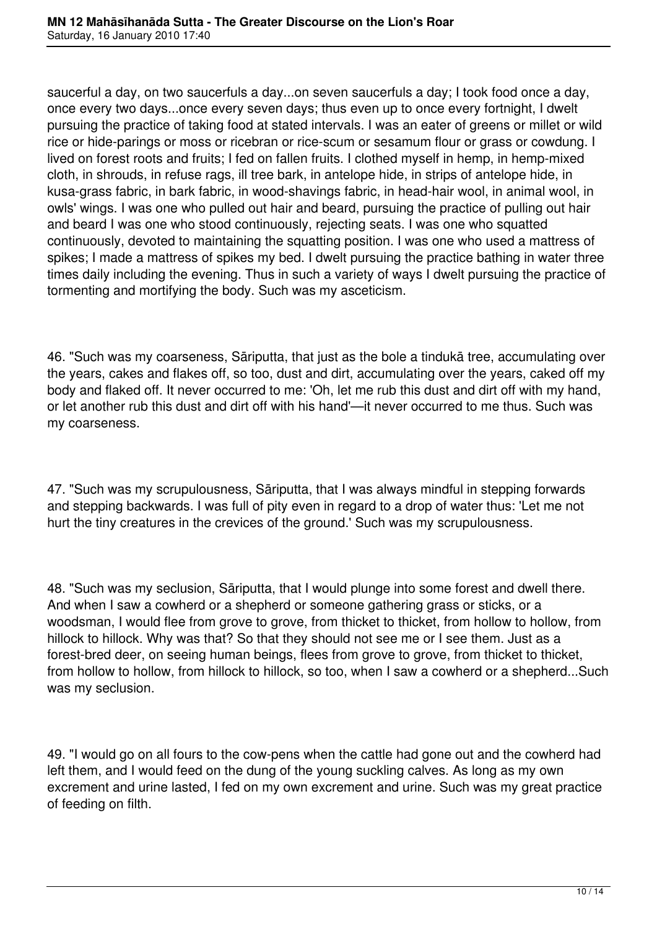saucerful a day, on two saucerfuls a day...on seven saucerfuls a day; I took food once a day, once every two days...once every seven days; thus even up to once every fortnight, I dwelt pursuing the practice of taking food at stated intervals. I was an eater of greens or millet or wild rice or hide-parings or moss or ricebran or rice-scum or sesamum flour or grass or cowdung. I lived on forest roots and fruits; I fed on fallen fruits. I clothed myself in hemp, in hemp-mixed cloth, in shrouds, in refuse rags, ill tree bark, in antelope hide, in strips of antelope hide, in kusa-grass fabric, in bark fabric, in wood-shavings fabric, in head-hair wool, in animal wool, in owls' wings. I was one who pulled out hair and beard, pursuing the practice of pulling out hair and beard I was one who stood continuously, rejecting seats. I was one who squatted continuously, devoted to maintaining the squatting position. I was one who used a mattress of spikes; I made a mattress of spikes my bed. I dwelt pursuing the practice bathing in water three times daily including the evening. Thus in such a variety of ways I dwelt pursuing the practice of tormenting and mortifying the body. Such was my asceticism.

46. "Such was my coarseness, Sāriputta, that just as the bole a tindukā tree, accumulating over the years, cakes and flakes off, so too, dust and dirt, accumulating over the years, caked off my body and flaked off. It never occurred to me: 'Oh, let me rub this dust and dirt off with my hand, or let another rub this dust and dirt off with his hand'—it never occurred to me thus. Such was my coarseness.

47. "Such was my scrupulousness, Sāriputta, that I was always mindful in stepping forwards and stepping backwards. I was full of pity even in regard to a drop of water thus: 'Let me not hurt the tiny creatures in the crevices of the ground.' Such was my scrupulousness.

48. "Such was my seclusion, Sāriputta, that I would plunge into some forest and dwell there. And when I saw a cowherd or a shepherd or someone gathering grass or sticks, or a woodsman, I would flee from grove to grove, from thicket to thicket, from hollow to hollow, from hillock to hillock. Why was that? So that they should not see me or I see them. Just as a forest-bred deer, on seeing human beings, flees from grove to grove, from thicket to thicket, from hollow to hollow, from hillock to hillock, so too, when I saw a cowherd or a shepherd...Such was my seclusion.

49. "I would go on all fours to the cow-pens when the cattle had gone out and the cowherd had left them, and I would feed on the dung of the young suckling calves. As long as my own excrement and urine lasted, I fed on my own excrement and urine. Such was my great practice of feeding on filth.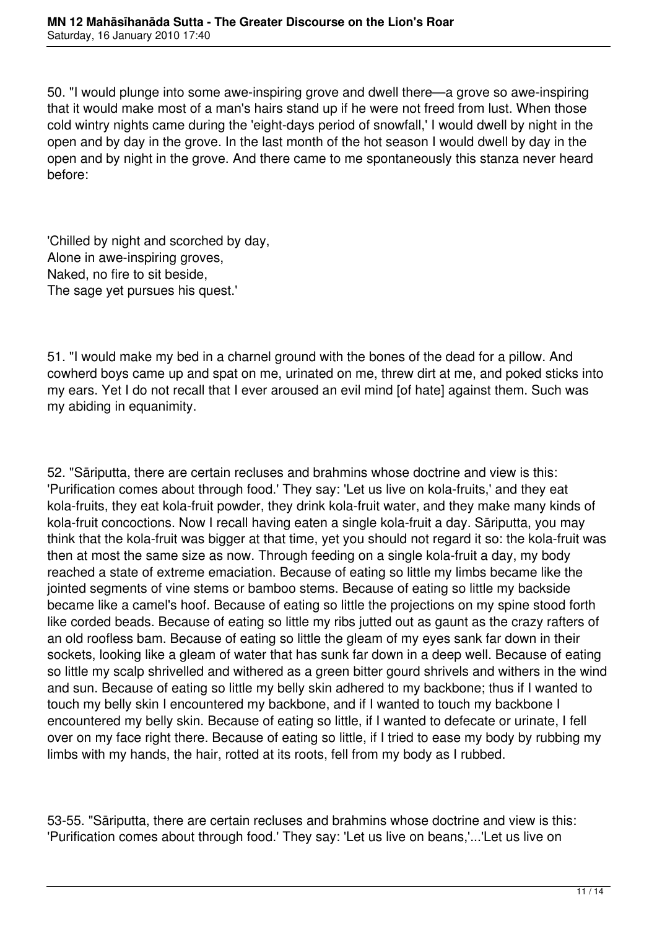50. "I would plunge into some awe-inspiring grove and dwell there—a grove so awe-inspiring that it would make most of a man's hairs stand up if he were not freed from lust. When those cold wintry nights came during the 'eight-days period of snowfall,' I would dwell by night in the open and by day in the grove. In the last month of the hot season I would dwell by day in the open and by night in the grove. And there came to me spontaneously this stanza never heard before:

'Chilled by night and scorched by day, Alone in awe-inspiring groves, Naked, no fire to sit beside, The sage yet pursues his quest.'

51. "I would make my bed in a charnel ground with the bones of the dead for a pillow. And cowherd boys came up and spat on me, urinated on me, threw dirt at me, and poked sticks into my ears. Yet I do not recall that I ever aroused an evil mind [of hate] against them. Such was my abiding in equanimity.

52. "Sāriputta, there are certain recluses and brahmins whose doctrine and view is this: 'Purification comes about through food.' They say: 'Let us live on kola-fruits,' and they eat kola-fruits, they eat kola-fruit powder, they drink kola-fruit water, and they make many kinds of kola-fruit concoctions. Now I recall having eaten a single kola-fruit a day. Sāriputta, you may think that the kola-fruit was bigger at that time, yet you should not regard it so: the kola-fruit was then at most the same size as now. Through feeding on a single kola-fruit a day, my body reached a state of extreme emaciation. Because of eating so little my limbs became like the jointed segments of vine stems or bamboo stems. Because of eating so little my backside became like a camel's hoof. Because of eating so little the projections on my spine stood forth like corded beads. Because of eating so little my ribs jutted out as gaunt as the crazy rafters of an old roofless bam. Because of eating so little the gleam of my eyes sank far down in their sockets, looking like a gleam of water that has sunk far down in a deep well. Because of eating so little my scalp shrivelled and withered as a green bitter gourd shrivels and withers in the wind and sun. Because of eating so little my belly skin adhered to my backbone; thus if I wanted to touch my belly skin I encountered my backbone, and if I wanted to touch my backbone I encountered my belly skin. Because of eating so little, if I wanted to defecate or urinate, I fell over on my face right there. Because of eating so little, if I tried to ease my body by rubbing my limbs with my hands, the hair, rotted at its roots, fell from my body as I rubbed.

53-55. "Sāriputta, there are certain recluses and brahmins whose doctrine and view is this: 'Purification comes about through food.' They say: 'Let us live on beans,'...'Let us live on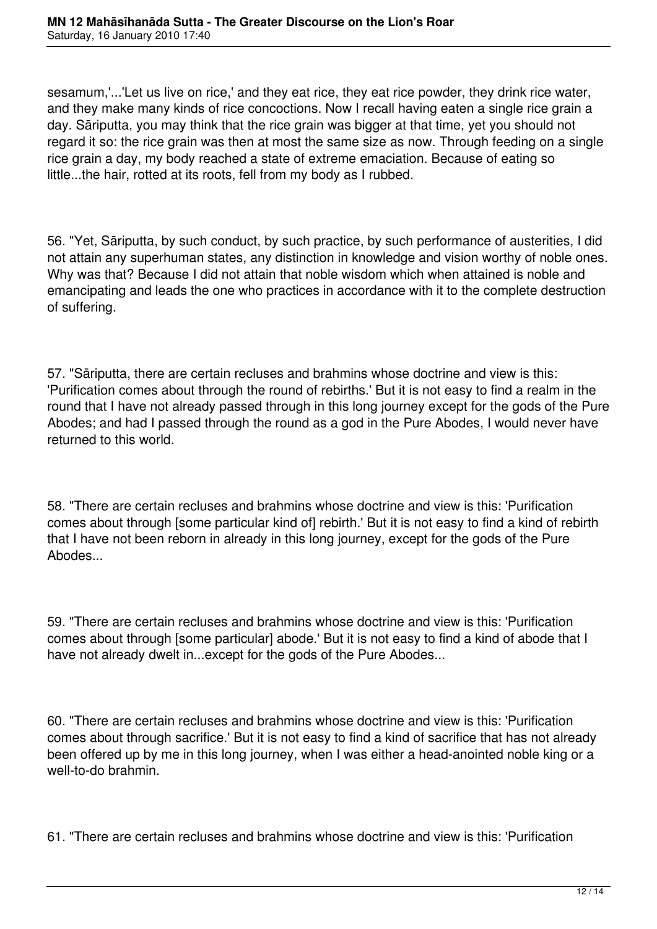sesamum,'...'Let us live on rice,' and they eat rice, they eat rice powder, they drink rice water, and they make many kinds of rice concoctions. Now I recall having eaten a single rice grain a day. Sāriputta, you may think that the rice grain was bigger at that time, yet you should not regard it so: the rice grain was then at most the same size as now. Through feeding on a single rice grain a day, my body reached a state of extreme emaciation. Because of eating so little...the hair, rotted at its roots, fell from my body as I rubbed.

56. "Yet, Sāriputta, by such conduct, by such practice, by such performance of austerities, I did not attain any superhuman states, any distinction in knowledge and vision worthy of noble ones. Why was that? Because I did not attain that noble wisdom which when attained is noble and emancipating and leads the one who practices in accordance with it to the complete destruction of suffering.

57. "Sāriputta, there are certain recluses and brahmins whose doctrine and view is this: 'Purification comes about through the round of rebirths.' But it is not easy to find a realm in the round that I have not already passed through in this long journey except for the gods of the Pure Abodes; and had I passed through the round as a god in the Pure Abodes, I would never have returned to this world.

58. "There are certain recluses and brahmins whose doctrine and view is this: 'Purification comes about through [some particular kind of] rebirth.' But it is not easy to find a kind of rebirth that I have not been reborn in already in this long journey, except for the gods of the Pure Abodes...

59. "There are certain recluses and brahmins whose doctrine and view is this: 'Purification comes about through [some particular] abode.' But it is not easy to find a kind of abode that I have not already dwelt in...except for the gods of the Pure Abodes...

60. "There are certain recluses and brahmins whose doctrine and view is this: 'Purification comes about through sacrifice.' But it is not easy to find a kind of sacrifice that has not already been offered up by me in this long journey, when I was either a head-anointed noble king or a well-to-do brahmin.

61. "There are certain recluses and brahmins whose doctrine and view is this: 'Purification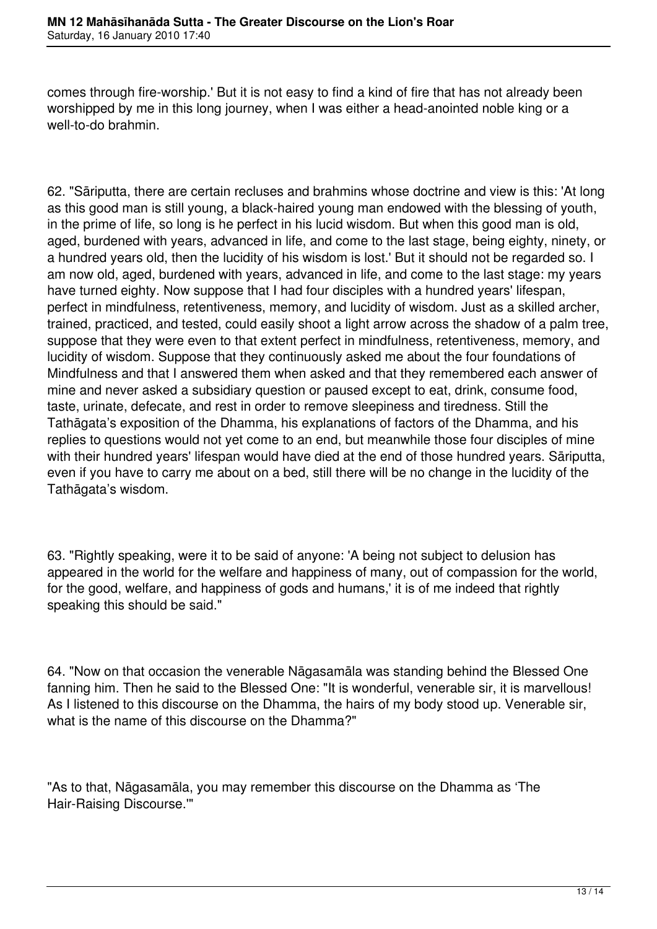comes through fire-worship.' But it is not easy to find a kind of fire that has not already been worshipped by me in this long journey, when I was either a head-anointed noble king or a well-to-do brahmin.

62. "Sāriputta, there are certain recluses and brahmins whose doctrine and view is this: 'At long as this good man is still young, a black-haired young man endowed with the blessing of youth, in the prime of life, so long is he perfect in his lucid wisdom. But when this good man is old, aged, burdened with years, advanced in life, and come to the last stage, being eighty, ninety, or a hundred years old, then the lucidity of his wisdom is lost.' But it should not be regarded so. I am now old, aged, burdened with years, advanced in life, and come to the last stage: my years have turned eighty. Now suppose that I had four disciples with a hundred years' lifespan, perfect in mindfulness, retentiveness, memory, and lucidity of wisdom. Just as a skilled archer, trained, practiced, and tested, could easily shoot a light arrow across the shadow of a palm tree, suppose that they were even to that extent perfect in mindfulness, retentiveness, memory, and lucidity of wisdom. Suppose that they continuously asked me about the four foundations of Mindfulness and that I answered them when asked and that they remembered each answer of mine and never asked a subsidiary question or paused except to eat, drink, consume food, taste, urinate, defecate, and rest in order to remove sleepiness and tiredness. Still the Tathāgata's exposition of the Dhamma, his explanations of factors of the Dhamma, and his replies to questions would not yet come to an end, but meanwhile those four disciples of mine with their hundred years' lifespan would have died at the end of those hundred years. Sāriputta, even if you have to carry me about on a bed, still there will be no change in the lucidity of the Tathāgata's wisdom.

63. "Rightly speaking, were it to be said of anyone: 'A being not subject to delusion has appeared in the world for the welfare and happiness of many, out of compassion for the world, for the good, welfare, and happiness of gods and humans,' it is of me indeed that rightly speaking this should be said."

64. "Now on that occasion the venerable Nāgasamāla was standing behind the Blessed One fanning him. Then he said to the Blessed One: "It is wonderful, venerable sir, it is marvellous! As I listened to this discourse on the Dhamma, the hairs of my body stood up. Venerable sir, what is the name of this discourse on the Dhamma?"

"As to that, Nāgasamāla, you may remember this discourse on the Dhamma as 'The Hair-Raising Discourse.'"